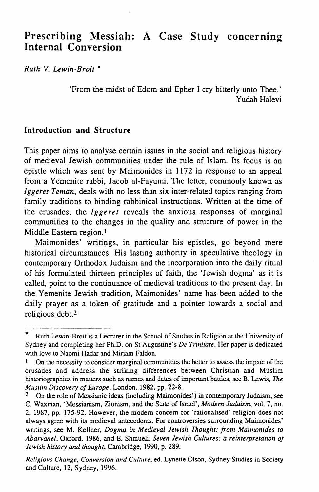# **Prescribing Messiah: A Case Study concerning Internal Conversion**

*Ruth V. Lewin-Brait* •

'From the midst of Edom and Epher I cry bitterly unto Thee.' Yudah Halevi

#### **Introduction and Structure**

This paper aims to analyse certain issues in the social and religious history of medieval Jewish communities under the rule of Islam. Its focus is an epistle which was sent by Maimonides in 1172 in response to an appeal from a Yemenite rabbi, Jacob al-Fayumi. The letter, commonly known as *Iggeret Teman,* deals with no less than six inter-related topics ranging from family traditions to binding rabbinical instructions. Written at the time of the crusades, the *lggeret* reveals the anxious responses of marginal communities to the changes in the quality and structure of power in the Middle Eastern region.!

Maimonides' writings, in particular his epistles, go beyond mere historical circumstances. His lasting authority in speculative theology in contemporary Orthodox Judaism and the incorporation into the daily ritual of his formulated thirteen principles of faith, the 'Jewish dogma' as it is called, point to the continuance of medieval traditions to the present day. In the Yemenite Jewish tradition, Maimonides' name has been added to the daily prayer as a token of gratitude and a pointer towards a social and religious debt.2

*Religious Change, Conversion and Culture,* ed. Lynette Olson, Sydney Studies in Society and Culture, 12, Sydney, 1996.

Ruth Lewin-Broit is a Lecturer in the School of Studies in Religion at the University of Sydney and completing her Ph.D. on St Augustine's *De Trinitate.* Her paper is dedicated with love to Naomi Hadar and Miriam Faldon.

On the necessity to consider marginal communities the better to assess the impact of the crusades and address the striking differences between Christian and Muslim historiographies in matters such as names and dates of important battles, see B. Lewis. *The Muslim Discovery of Europe.* London, 1982. pp. 22-8.

<sup>2</sup> On the role of Messianic ideas (including Maimonides') in contemporary Judaism. see C. Waxman, 'Messianism, Zionism, and the State of Israel', *Modern Judaism*, vol. 7, no. 2. 1987. pp. 175-92. However, the modem concern for 'rationalised' religion does not always agree with its medieval antecedents. For controversies surrounding Maimonides' writings, see M. Kellner, *Dogma in Medieval Jewish Thought: from Maimonides to Abarvanel,* Oxford, 1986, and E. Shmueli. *Seven Jewish Cultures: a reinterpretation of Jewish history* and *thought,* Cambridge. 1990, p. 289.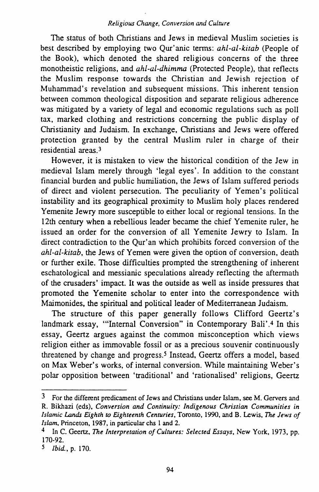The status of both Christians and Jews in medieval Muslim societies is best described by employing two Our'anic terms: *ahl-al-kitab* (People of the Book), which denoted the shared religious concerns of the three monotheistic religions, and *ahl-al-dhimma* (Protected People), that reflects the Muslim response towards the Christian and Jewish rejection of Muhammad's revelation and subsequent missions. This inherent tension between common theological disposition and separate religious adherence was mitigated by a variety of legal and economic regulations such as poll tax, marked clothing and restrictions concerning the public display of Christianity and Judaism. In exchange, Christians and Jews were offered protection granted by the central Muslim ruler in charge of their residential areas<sup>3</sup>

However, it is mistaken to view the historical condition of the Jew in medieval Islam merely through 'legal eyes'. In addition to the constant financial burden and public humiliation, the Jews of Islam suffered periods of direct and violent persecution. The peculiarity of Yemen's political instability and its geographical proximity to Muslim holy places rendered Yemenite Jewry more susceptible to either local or regional tensions. In the 12th century when a rebellious leader became the chief Yemenite ruler, he issued an order for the conversion of all Yemenite Jewry to Islam. In direct contradiction to the Qur'an which prohibits forced conversion of the *ahl-al-kitab,* the Jews of Yemen were given the option of conversion, death or further exile. Those difficulties prompted the strengthening of inherent eschatological and messianic speculations already reflecting the aftermath of the crusaders' impact. It was the outside as well as inside pressures that promoted the Yemenite scholar to enter into the correspondence with Maimonides, the spiritual and political leader of Mediterranean Judaism.

The structure of this paper generally follows Clifford Geertz's landmark essay, "'Internal Conversion" in Contemporary Bali'.4 In this essay, Geertz argues against the common misconception which views religion either as immovable fossil or as a precious souvenir continuously threatened by change and progress.5 Instead, Geertz offers a model, based on Max Weber's works, of internal conversion. While maintaining Weber's polar opposition between 'traditional' and 'rationalised' religions, Geertz

<sup>3</sup> For the different predicament of Jews and Christians under Islam, see M. Gervers and R. Bikhazi (eds). *Conversion and Continuity: Indigenous Christian Communities in Islamic* Lands *Eighth to Eighteenth Centuries,* Toronto, 1990, and B. Lewis, *The Jews of Islam,* Princeton, 1987, in particular chs I and 2.

<sup>4</sup> In C. Geertz, *The Interpretation of Cultures: Selected Essays,* New York, 1973, pp. 170-92.

*<sup>5</sup> Ibid..* p. 170.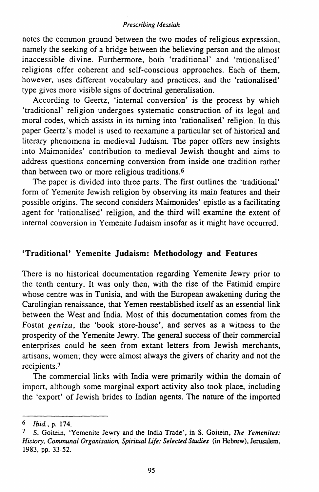notes the common ground between the two modes of religious expression, namely the seeking of a bridge between the believing person and the almost inaccessible divine. Furthermore, both 'traditional' and 'rationalised' religions offer coherent and self-conscious approaches. Each of them, however, uses different vocabulary and practices, and the 'rationalised' type gives more visible signs of doctrinal generalisation.

According to Geertz, 'internal conversion' is the process by which 'traditional' religion undergoes systematic construction of its legal and moral codes, which assists in its turning into 'rationalised' religion. In this paper Geertz's model is used to reexamine a particular set of historical and literary phenomena in medieval Judaism. The paper offers new insights into Maimonides' contribution to medieval Jewish thought and aims to address questions concerning conversion from inside one tradition rather than between two or more religious traditions.6

The paper is divided into three parts. The first outlines the 'traditional' form of Yemenite Jewish religion by observing its main features and their possible origins. The second considers Maimonides' epistle as a facilitating agent for 'rationalised' religion, and the third will examine the extent of internal conversion in Yemenite Judaism insofar as it might have occurred.

### 'Traditional' Yemenite Judaism: Methodology and Features

There is no historical documentation regarding Yemenite Jewry prior to the tenth century. It was only then, with the rise of the Fatirnid empire whose centre was in Tunisia, and with the European awakening during the Carolingian renaissance, that Yemen reestablished itself as an essential link between the West and India. Most of this documentation comes from the Fostat *geniza,* the 'book store-house', and serves as a witness to the prosperity of the Yemenite Jewry. The general success of their commercial enterprises could be seen from extant letters from Jewish merchants, artisans, women; they were almost always the givers of charity and not the recipients.<sup>7</sup>

The commercial links with India were primarily within the domain of import, although some marginal export activity also took place, including the 'export' of Jewish brides to Indian agents. The nature of the imported

<sup>6</sup> *Ibid.,* p. 174.

<sup>7</sup> S. Goitein, 'Yemenite Jewry and the India Trade', in S. Goitein, *The Yemenites: History, Communal Organisation, Spiritual Life: Selected Studies* (in Hebrew), Jerusalem, 1983, pp. 33-52.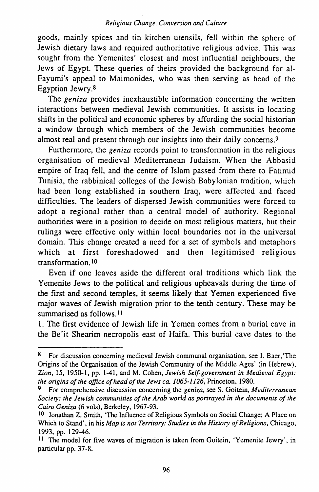goods, mainly spices and tin kitchen utensils, fell within the sphere of Jewish dietary laws and required authoritative religious advice. This was sought from the Yemenites' closest and most influential neighbours, the Jews of Egypt. These queries of theirs provided the background for al-Fayumi's appeal to Maimonides, who was then serving as head of the Egyptian Jewry.<sup>8</sup>

The *geniza* provides inexhaustible information concerning the written interactions between medieval Jewish communities. It assists in locating shifts in the political and economic spheres by affording the social historian a window through which members of the Jewish communities become almost real and present through our insights into their daily concerns.9

Furthermore, the *geniza* records point to transformation in the religious organisation of medieval Mediterranean Judaism. When the Abbasid empire of Iraq fell, and the centre of Islam passed from there to Fatimid Tunisia, the rabbinical colleges of the Jewish Babylonian tradition, which had been long established in southern Iraq, were affected and faced difficulties. The leaders of dispersed Jewish communities were forced to adopt a regional rather than a central model of authority. Regional authorities were in a position to decide on most religious matters, but their rulings were effective only within local boundaries not in the universal domain. This change created a need for a set of symbols and metaphors which at first foreshadowed and then legitimised religious transformation.IO

Even if one leaves aside the different oral traditions which link the Yemenite Jews to the political and religious upheavals during the time of the first and second temples, it seems likely that Yemen experienced five major waves of Jewish migration prior to the tenth century. These may be summarised as follows. II

I. The first evidence of Jewish life in Yemen comes from a burial cave in the Be'it Shearim necropolis east of Haifa. This burial cave dates to the

<sup>8</sup> For discussion concerning medieval Jewish communal organisation, see I. Baer, 'The Origins of the Organisation of the Jewish Community of the Middle Ages' (in Hebrew), *Zion,* 15, 1950-1, pp. 1-41, and M. Cohen, *Jewish Self-government in Medieval Egypt: the origins of the office of head of the Jews ca. 1065-1126,* Princeton, 1980.

<sup>9</sup> For comprehensive discussion concerning the *geniza,* seeS. Goitein, *Mediterranean Society: the Jewish communities of the Arab world as ponrayed in the documents of the Cairo Geniza* (6 vo1s), Berkeley, 1967-93.

<sup>10</sup> Jonathan Z. Smith, 'The Influence of Religious Symbols on Social Change; A Place on Which to Stand', in his *Map is not Territory: Studies in the History of Religions,* Chicago, 1993, pp. 129-46.

<sup>11</sup> The model for five waves of migration is taken from Goitein, 'Yemenite Jewry', in particular pp. 37-8.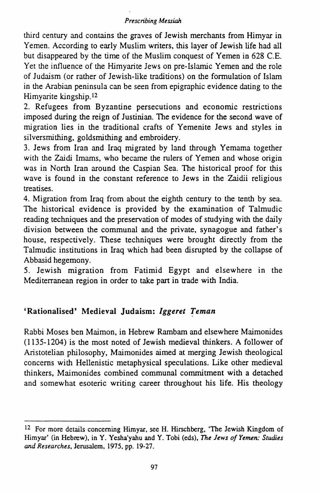third century and contains the graves of Jewish merchants from Himyar in Yemen. According to early Muslim writers, this layer of Jewish life had all but disappeared by the time of the Muslim conquest of Yemen in 628 C.E. Yet the influence of the Himyarite Jews on pre-Islamic Yemen and the role of Judaism (or rather of Jewish-like traditions) on the formulation of Islam in the Arabian peninsula can be seen from epigraphic evidence dating to the Himyarite kingship.I2

2. Refugees from Byzantine persecutions and economic restrictions imposed during the reign of Justinian. The evidence for the second wave of migration lies in the traditional crafts of Yemenite Jews and styles in silversmithing, goldsmithing and embroidery.

3. Jews from Iran and Iraq migrated by land through Yemama together with the Zaidi Imams, who became the rulers of Yemen and whose origin was in North Iran around the Caspian Sea. The historical proof for this wave is found in the constant reference to Jews in the Zaidii religious treatises.

4. Migration from Iraq from about the eighth century to the tenth by sea. The historical evidence is provided by the examination of Talmudic reading techniques and the preservation of modes of studying with the daily division between the communal and the private, synagogue and father's house, respectively. These techniques were brought directly from the Talmudic institutions in Iraq which had been disrupted by the collapse of Abbasid hegemony.

5. Jewish migration from Fatimid Egypt and elsewhere in the Mediterranean region in order to take part in trade with India.

# 'Rationalised' Medieval Judaism: *Iggeret Teman*

Rabbi Moses ben Maimon, in Hebrew Rambam and elsewhere Maimonides (1135-1204) is the most noted of Jewish medieval thinkers. A follower of Aristotelian philosophy, Maimonides aimed at merging Jewish theological concerns with Hellenistic metaphysical speculations. Like other medieval thinkers, Maimonides combined communal commitment with a detached and somewhat esoteric writing career throughout his life. His theology

<sup>12</sup> For more details concerning Himyar, see H. Hirschberg, 'The Jewish Kingdom of Himyar' (in Hebrew), in Y. Yesha'yahu andY. Tobi (eds), *The Jews of Yemen: Studies and Researches,* Jerusalem, 1975, pp. 19-27.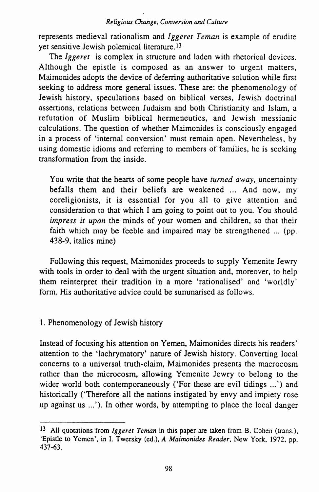represents medieval rationalism and *lggeret Ternan* is example of erudite yet sensitive Jewish polemical literature.<sup>13</sup>

The *Iggeret* is complex in structure and laden with rhetorical devices. Although the epistle is composed as an answer to urgent matters, Maimonides adopts the device of deferring authoritative solution while first seeking to address more general issues. These are: the phenomenology of Jewish history, speculations based on biblical verses, Jewish doctrinal assertions, relations between Judaism and both Christianity and Islam, a refutation of Muslim biblical hermeneutics, and Jewish messianic calculations. The question of whether Maimonides is consciously engaged in a process of 'internal conversion' must remain open. Nevertheless, by using domestic idioms and referring to members of families, he is seeking transformation from the inside.

You write that the hearts of some people have *turned away,* uncertainty befalls them and their beliefs are weakened ... And now, my coreligionists, it is essential for you all to give attention and consideration to that which I am going to point out to you. You should *impress it upon* the minds of your women and children, so that their faith which may be feeble and impaired may be strengthened ... (pp. 438-9, italics mine)

Following this request, Maimonides proceeds to supply Yemenite Jewry with tools in order to deal with the urgent situation and, moreover, to help them reinterpret their tradition in a more 'rationalised' and 'worldly' form. His authoritative advice could be summarised as follows.

### I. Phenomenology of Jewish history

Instead of focusing his attention on Yemen, Maimonides directs his readers' attention to the 'lachrymatory' nature of Jewish history. Converting local concerns to a universal truth-claim, Maimonides presents the macrocosm rather than the microcosm, allowing Yemenite Jewry to belong to the wider world both contemporaneously ('For these are evil tidings ...') and historically ('Therefore all the nations instigated by envy and impiety rose up against us ...'). In other words, by attempting to place the local danger

<sup>13</sup> All quotations from *lggeret Ternan* in this paper are taken from B. Cohen (trans.), 'Epistle to Yemen', in I. Twersky (ed.), *A Maimonides Reader,* New York, 1972, pp. 437-63.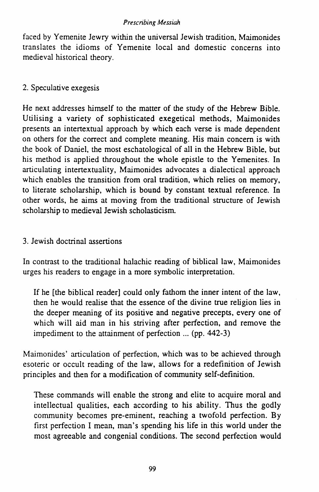faced by Yemenite Jewry within the universal Jewish tradition, Maimonides translates the idioms of Yemenite local and domestic concerns into medieval historical theory.

## 2. Speculative exegesis

He next addresses himself to the matter of the study of the Hebrew Bible. Utilising a variety of sophisticated exegetical methods, Maimonides presents an intertextual approach by which each verse is made dependent on others for the correct and complete meaning. His main concern is with the book of Daniel, the most eschatological of all in the Hebrew Bible, but his method is applied throughout the whole epistle to the Yemenites. In articulating intertextuality, Maimonides advocates a dialectical approach which enables the transition from oral tradition, which relies on memory, to literate scholarship, which is bound by constant textual reference. In other words, he aims at moving from the traditional structure of Jewish scholarship to medieval Jewish scholasticism.

## 3. Jewish doctrinal assertions

In contrast to the traditional halachic reading of biblical law, Maimonides urges his readers to engage in a more symbolic interpretation.

If he [the biblical reader] could only fathom the inner intent of the law, then he would realise that the essence of the divine true religion lies in the deeper meaning of its positive and negative precepts, every one of which will aid man in his striving after perfection, and remove the impediment to the attainment of perfection ... (pp. 442-3)

Maimonides' articulation of perfection, which was to be achieved through esoteric or occult reading of the law, allows for a redefinition of Jewish principles and then for a modification of community self-definition.

These commands will enable the strong and elite to acquire moral and intellectual qualities, each according to his ability. Thus the godly community becomes pre-eminent, reaching a twofold perfection. By first perfection I mean, man's spending his life in this world under the most agreeable and congenial conditions. The second perfection would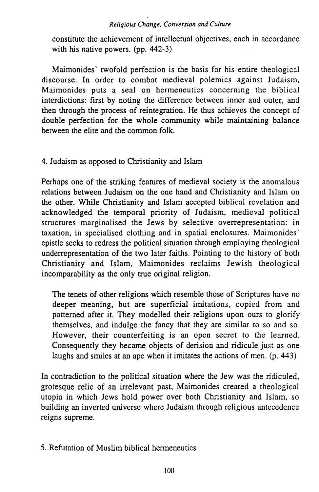constitute the achievement of intellectual objectives, each in accordance with his native powers. (pp. 442-3)

Maimonides' twofold perfection is the basis for his entire theological discourse. In order to combat medieval polemics against Judaism, Maimonides puts a seal on hermeneutics concerning the biblical interdictions: first by noting the difference between inner and outer, and then through the process of reintegration. He thus achieves the concept of double perfection for the whole community while maintaining balance between the elite and the common folk.

## 4. Judaism as opposed to Christianity and Islam

Perhaps one of the striking features of medieval society is the anomalous relations between Judaism on the one hand and Christianity and Islam on the other. While Christianity and Islam accepted biblical revelation and acknowledged the temporal priority of Judaism, medieval political structures marginalised the Jews by selective overrepresentation: in taxation, in specialised clothing and in spatial enclosures. Maimonides' epistle seeks to redress the political situation through employing theological underrepresentation of the two later faiths. Pointing to the history of both Christianity and Islam, Maimonides reclaims Jewish theological incomparability as the only true original religion.

The tenets of other religions which resemble those of Scriptures have no deeper meaning, but are superficial imitations, copied from and patterned after it. They modelled their religions upon ours to glorify themselves, and indulge the fancy that they are similar to so and so. However, their counterfeiting is an open secret to the learned. Consequently they became objects of derision and ridicule just as one laughs and smiles at an ape when it imitates the actions of men. (p. 443)

In contradiction to the political situation where the Jew was the ridiculed, grotesque relic of an irrelevant past, Maimonides created a theological utopia in which Jews hold power over both Christianity and Islam, so building an inverted universe where Judaism through religious antecedence reigns supreme.

# 5. Refutation of Muslim biblical hermeneutics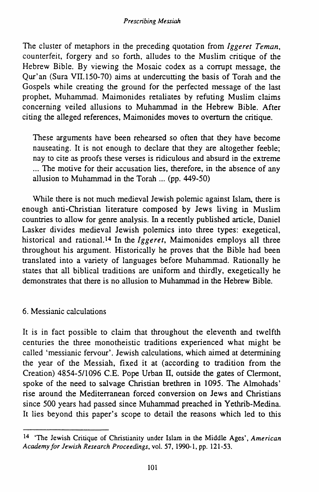The cluster of metaphors in the preceding quotation from *Iggeret Teman*, counterfeit, forgery and so forth, alludes to the Muslim critique of the Hebrew Bible. By viewing the Mosaic codex as a corrupt message, the Qur' an (Sura VII.l50-70) aims at undercutting the basis of Torah and the Gospels while creating the ground for the perfected message of the last prophet, Muhammad. Maimonides retaliates by refuting Muslim claims concerning veiled allusions to Muhammad in the Hebrew Bible. After citing the alleged references, Maimonides moves to overturn the critique.

These arguments have been rehearsed so often that they have become nauseating. It is not enough to declare that they are altogether feeble; nay to cite as proofs these verses is ridiculous and absurd in the extreme ... The motive for their accusation lies, therefore, in the absence of any allusion to Muhammad in the Torah ... (pp. 449-50)

While there is not much medieval Jewish polemic against Islam, there is enough anti-Christian literature composed by Jews living in Muslim countries to allow for genre analysis. In a recently published article, Daniel Lasker divides medieval Jewish polemics into three types: exegetical, historical and rational.<sup>14</sup> In the *Iggeret*, Maimonides employs all three throughout his argument. Historically he proves that the Bible had been translated into a variety of languages before Muhammad. Rationally he states that all biblical traditions are uniform and thirdly, exegetically he demonstrates that there is no allusion to Muhammad in the Hebrew Bible.

## 6. Messianic calculations

It is in fact possible to claim that throughout the eleventh and twelfth centuries the three monotheistic traditions experienced what might be called 'messianic fervour'. Jewish calculations, which aimed at determining the year of the Messiah, fixed it at (according to tradition from the Creation) 4854-511096 C.E. Pope Urban II, outside the gates of Clermont, spoke of the need to salvage Christian brethren in 1095. The Almohads' rise around the Mediterranean forced conversion on Jews and Christians since 500 years had passed since Muhammad preached in Yethrib-Medina. It lies beyond this paper's scope to detail the reasons which led to this

<sup>14 &#</sup>x27;The Jewish Critique of Christianity under Islam in the Middle Ages', *American Academy for Jewish Research Proceedings,* vol. 57, 1990-1, pp. 121-53.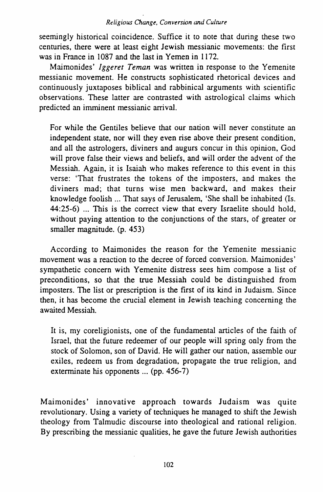seemingly historical coincidence. Suffice it to note that during these two centuries, there were at least eight Jewish messianic movements: the first was in France in 1087 and the last in Yemen in 1172.

Maimonides' *lggeret Ternan* was written in response to the Yemenite messianic movement. He constructs sophisticated rhetorical devices and continuously juxtaposes biblical and rabbinical arguments with scientific observations. These latter are contrasted with astrological claims which predicted an imminent messianic arrival.

For while the Gentiles believe that our nation will never constitute an independent state, nor will they even rise above their present condition, and all the astrologers, diviners and augurs concur in this opinion, God will prove false their views and beliefs, and will order the advent of the Messiah. Again, it is Isaiah who makes reference to this event in this verse: 'That frustrates the tokens of the imposters, and makes the diviners mad; that turns wise men backward, and makes their knowledge foolish ... That says of Jerusalem, 'She shall be inhabited (Is. 44:25-6) ... This is the correct view that every Israelite should hold, without paying attention to the conjunctions of the stars, of greater or smaller magnitude. (p. 453)

According to Maimonides the reason for the Yemenite messianic movement was a reaction to the decree of forced conversion. Maimonides' sympathetic concern with Yemenite distress sees him compose a list of preconditions, so that the true Messiah could be distinguished from imposters. The list or prescription is the first of its kind in Judaism. Since then, it has become the crucial element in Jewish teaching concerning the awaited Messiah.

It is, my coreligionists, one of the fundamental articles of the faith of Israel, that the future redeemer of our people will spring only from the stock of Solomon, son of David. He will gather our nation, assemble our exiles, redeem us from degradation, propagate the true religion, and exterminate his opponents ... (pp. 456-7)

Maimonides' innovative approach towards Judaism was quite revolutionary. Using a variety of techniques he managed to shift the Jewish theology from Talmudic discourse into theological and rational religion. By prescribing the messianic qualities, he gave the future Jewish authorities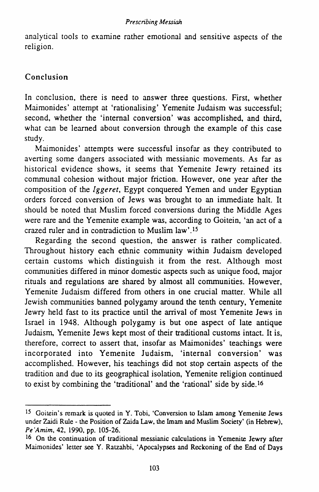analytical tools to examine rather emotional and sensitive aspects of the religion.

### Conclusion

In conclusion, there is need to answer three questions. First, whether Maimonides' attempt at 'rationalising' Yemenite Judaism was successful; second, whether the 'internal conversion' was accomplished, and third, what can be learned about conversion through the example of this case study.

Maimonides' attempts were successful insofar as they contributed to averting some dangers associated with messianic movements. As far as historical evidence shows, it seems that Yemenite Jewry retained its communal cohesion without major friction. However, one year after the composition of the *lggeret,* Egypt conquered Yemen and under Egyptian orders forced conversion of Jews was brought to an immediate halt. It should be noted that Muslim forced conversions during the Middle Ages were rare and the Yemenite example was, according to Goitein, 'an act of a crazed ruler and in contradiction to Muslim law'.15

Regarding the second question, the answer is rather complicated. Throughout history each ethnic community within Judaism developed certain customs which distinguish it from the rest. Although most communities differed in minor domestic aspects such as unique food, major rituals and regulations are shared by almost all communities. However, Yemenite Judaism differed from others in one crucial matter. While all Jewish communities banned polygamy around the tenth century, Yemenite Jewry held fast to its practice until the arrival of most Yemenite Jews in Israel in 1948. Although polygamy is but one aspect of late antique Judaism. Yemenite Jews kept most of their traditional customs intact. It is, therefore, correct to assert that, insofar as Maimonides' teachings were incorporated into Yemenite Judaism, 'internal conversion' was accomplished. However, his teachings did not stop certain aspects of the tradition and due to its geographical isolation, Yemenite religion continued to exist by combining the 'traditional' and the 'rational' side by side.l6

<sup>15</sup> Goitein's remark is quoted in Y. Tobi, 'Conversion to Islam among Yemenite Jews under Zaidi Rule- the Position of Zaida Law, the Imam and Muslim Society' (in Hebrew), *Pe 'Amim,* 42, 1990, pp. 105-26.

<sup>16</sup> On the continuation of traditional messianic calculations in Yemenite Jewry after Maimonides' letter see Y. Ratzahbi, 'Apocalypses and Reckoning of the End of Days